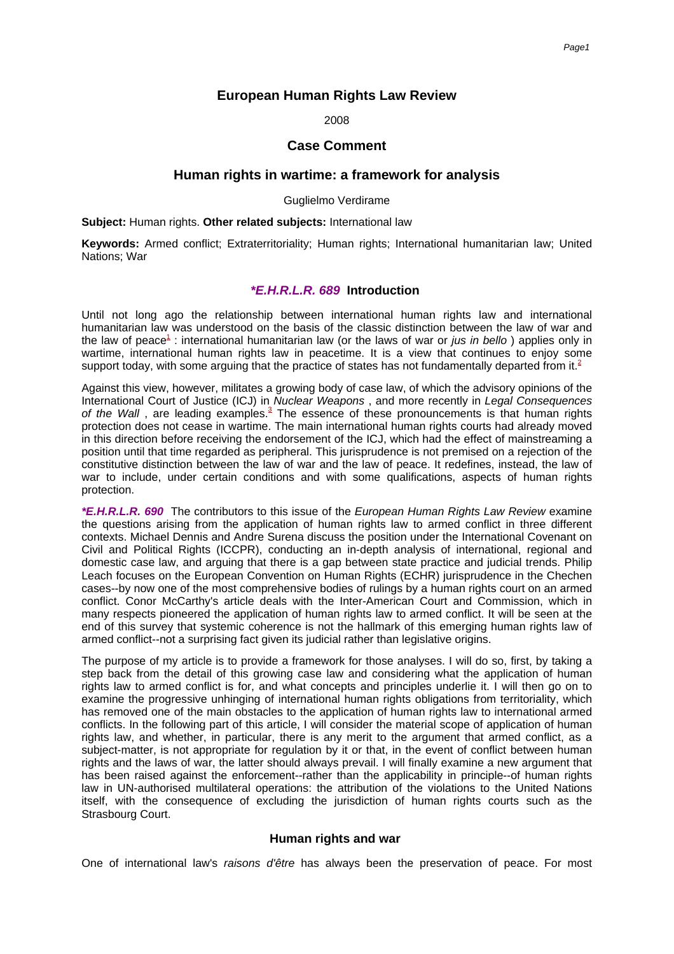# **European Human Rights Law Review**

2008

# **Case Comment**

## **Human rights in wartime: a framework for analysis**

#### Guglielmo Verdirame

**Subject:** Human rights. **Other related subjects:** International law

**Keywords:** Armed conflict; Extraterritoriality; Human rights; International humanitarian law; United Nations; War

### **\*E.H.R.L.R. 689 Introduction**

Until not long ago the relationship between international human rights law and international humanitarian law was understood on the basis of the classic distinction between the law of war and th[e](#page-8-0) law of peace<sup>1</sup>: international humanitarian law (or the laws of war or *jus in bello* ) applies only in wartime, international human rights law in peacetime. It is a view that continues to enjoy some support today, with some arguing that the practice of states has not fundamentally departed from i[t.](#page-8-1)<sup>2</sup>

Against this view, however, militates a growing body of case law, of which the advisory opinions of the International Court of Justice (ICJ) in Nuclear Weapons, and more recently in Legal Consequences of the Wall, are leading examples[.](#page-8-2)<sup>3</sup> The essence of these pronouncements is that human rights protection does not cease in wartime. The main international human rights courts had already moved in this direction before receiving the endorsement of the ICJ, which had the effect of mainstreaming a position until that time regarded as peripheral. This jurisprudence is not premised on a rejection of the constitutive distinction between the law of war and the law of peace. It redefines, instead, the law of war to include, under certain conditions and with some qualifications, aspects of human rights protection.

**\*E.H.R.L.R. 690** The contributors to this issue of the European Human Rights Law Review examine the questions arising from the application of human rights law to armed conflict in three different contexts. Michael Dennis and Andre Surena discuss the position under the International Covenant on Civil and Political Rights (ICCPR), conducting an in-depth analysis of international, regional and domestic case law, and arguing that there is a gap between state practice and judicial trends. Philip Leach focuses on the European Convention on Human Rights (ECHR) jurisprudence in the Chechen cases--by now one of the most comprehensive bodies of rulings by a human rights court on an armed conflict. Conor McCarthy's article deals with the Inter-American Court and Commission, which in many respects pioneered the application of human rights law to armed conflict. It will be seen at the end of this survey that systemic coherence is not the hallmark of this emerging human rights law of armed conflict--not a surprising fact given its judicial rather than legislative origins.

The purpose of my article is to provide a framework for those analyses. I will do so, first, by taking a step back from the detail of this growing case law and considering what the application of human rights law to armed conflict is for, and what concepts and principles underlie it. I will then go on to examine the progressive unhinging of international human rights obligations from territoriality, which has removed one of the main obstacles to the application of human rights law to international armed conflicts. In the following part of this article, I will consider the material scope of application of human rights law, and whether, in particular, there is any merit to the argument that armed conflict, as a subject-matter, is not appropriate for regulation by it or that, in the event of conflict between human rights and the laws of war, the latter should always prevail. I will finally examine a new argument that has been raised against the enforcement--rather than the applicability in principle--of human rights law in UN-authorised multilateral operations: the attribution of the violations to the United Nations itself, with the consequence of excluding the jurisdiction of human rights courts such as the Strasbourg Court.

## **Human rights and war**

One of international law's raisons d'être has always been the preservation of peace. For most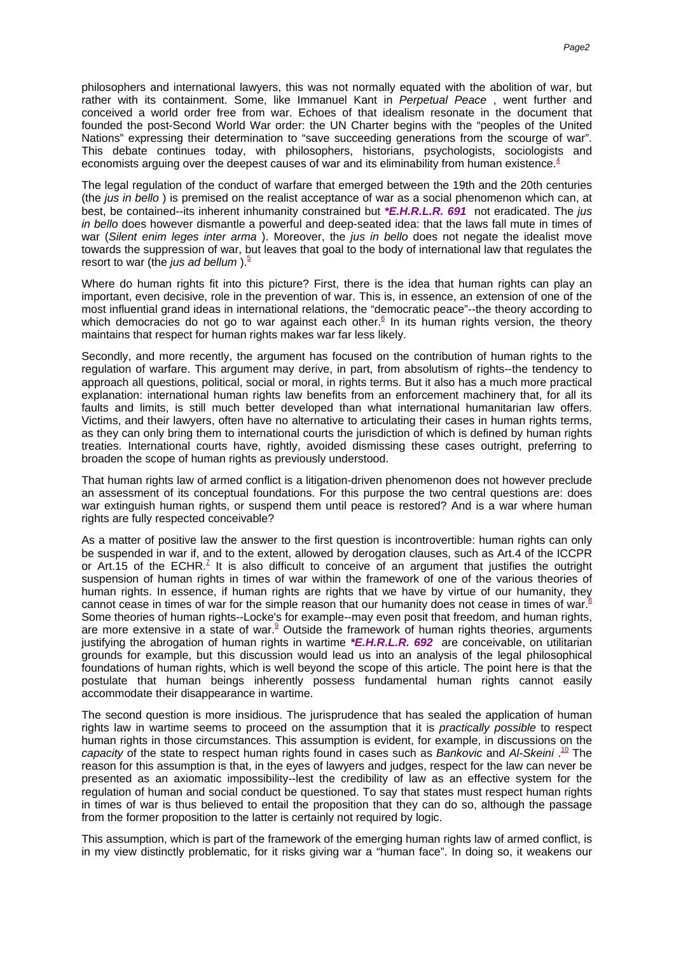philosophers and international lawyers, this was not normally equated with the abolition of war, but rather with its containment. Some, like Immanuel Kant in Perpetual Peace, went further and conceived a world order free from war. Echoes of that idealism resonate in the document that founded the post-Second World War order: the UN Charter begins with the "peoples of the United Nations" expressing their determination to "save succeeding generations from the scourge of war". This debate continues today, with philosophers, historians, psychologists, sociologists and economists arguing over the deepest causes of war and its eliminability from human existenc[e.](#page-8-3) $4$ 

The legal regulation of the conduct of warfare that emerged between the 19th and the 20th centuries (the jus in bello) is premised on the realist acceptance of war as a social phenomenon which can, at best, be contained--its inherent inhumanity constrained but **\*E.H.R.L.R. 691** not eradicated. The jus in bello does however dismantle a powerful and deep-seated idea: that the laws fall mute in times of war (Silent enim leges inter arma). Moreover, the jus in bello does not negate the idealist move towards the suppression of war, but leaves that goal to the body of international law that regulates the resort to war (the jus ad bellum[\).](#page-8-4) $5$ 

Where do human rights fit into this picture? First, there is the idea that human rights can play an important, even decisive, role in the prevention of war. This is, in essence, an extension of one of the most influential grand ideas in international relations, the "democratic peace"--the theory according to which democracies do not go to war against each other[.](#page-8-5)<sup>6</sup> In its human rights version, the theory maintains that respect for human rights makes war far less likely.

Secondly, and more recently, the argument has focused on the contribution of human rights to the regulation of warfare. This argument may derive, in part, from absolutism of rights--the tendency to approach all questions, political, social or moral, in rights terms. But it also has a much more practical explanation: international human rights law benefits from an enforcement machinery that, for all its faults and limits, is still much better developed than what international humanitarian law offers. Victims, and their lawyers, often have no alternative to articulating their cases in human rights terms, as they can only bring them to international courts the jurisdiction of which is defined by human rights treaties. International courts have, rightly, avoided dismissing these cases outright, preferring to broaden the scope of human rights as previously understood.

That human rights law of armed conflict is a litigation-driven phenomenon does not however preclude an assessment of its conceptual foundations. For this purpose the two central questions are: does war extinguish human rights, or suspend them until peace is restored? And is a war where human rights are fully respected conceivable?

As a matter of positive law the answer to the first question is incontrovertible: human rights can only be suspended in war if, and to the extent, allowed by derogation clauses, such as Art.4 of the ICCPR or Art.15 of the ECH[R.](#page-8-6)<sup>7</sup> It is also difficult to conceive of an argument that justifies the outright suspension of human rights in times of war within the framework of one of the various theories of human rights. In essence, if human rights are rights that we have by virtue of our humanity, they cannot cease in times of war for the simple reason that our humanity does not cease in times of war[.](#page-8-7)<sup>8</sup> Some theories of human rights--Locke's for example--may even posit that freedom, and human rights, are more extensive in a state of war[.](#page-8-8) $9$  Outside the framework of human rights theories, arguments justifying the abrogation of human rights in wartime **\*E.H.R.L.R. 692** are conceivable, on utilitarian grounds for example, but this discussion would lead us into an analysis of the legal philosophical foundations of human rights, which is well beyond the scope of this article. The point here is that the postulate that human beings inherently possess fundamental human rights cannot easily accommodate their disappearance in wartime.

The second question is more insidious. The jurisprudence that has sealed the application of human rights law in wartime seems to proceed on the assumption that it is practically possible to respect human rights in those circumstances. This assumption is evident, for example, in discussions on the capacity of the state to respect human rights found in cases such as Bankovic and Al-Skeini[.](#page-9-0)<sup>10</sup> The reason for this assumption is that, in the eyes of lawyers and judges, respect for the law can never be presented as an axiomatic impossibility--lest the credibility of law as an effective system for the regulation of human and social conduct be questioned. To say that states must respect human rights in times of war is thus believed to entail the proposition that they can do so, although the passage from the former proposition to the latter is certainly not required by logic.

This assumption, which is part of the framework of the emerging human rights law of armed conflict, is in my view distinctly problematic, for it risks giving war a "human face". In doing so, it weakens our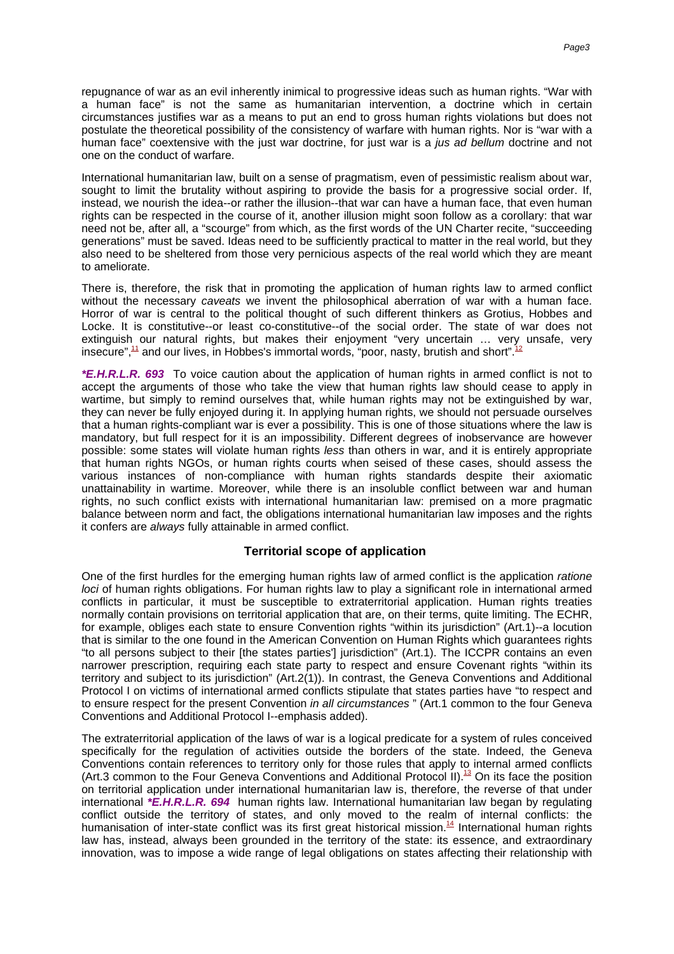repugnance of war as an evil inherently inimical to progressive ideas such as human rights. "War with a human face" is not the same as humanitarian intervention, a doctrine which in certain circumstances justifies war as a means to put an end to gross human rights violations but does not postulate the theoretical possibility of the consistency of warfare with human rights. Nor is "war with a human face" coextensive with the just war doctrine, for just war is a jus ad bellum doctrine and not one on the conduct of warfare.

International humanitarian law, built on a sense of pragmatism, even of pessimistic realism about war, sought to limit the brutality without aspiring to provide the basis for a progressive social order. If, instead, we nourish the idea--or rather the illusion--that war can have a human face, that even human rights can be respected in the course of it, another illusion might soon follow as a corollary: that war need not be, after all, a "scourge" from which, as the first words of the UN Charter recite, "succeeding generations" must be saved. Ideas need to be sufficiently practical to matter in the real world, but they also need to be sheltered from those very pernicious aspects of the real world which they are meant to ameliorate.

There is, therefore, the risk that in promoting the application of human rights law to armed conflict without the necessary caveats we invent the philosophical aberration of war with a human face. Horror of war is central to the political thought of such different thinkers as Grotius, Hobbes and Locke. It is constitutive--or least co-constitutive--of the social order. The state of war does not extinguish our natural rights, but makes their enjoyment "very uncertain … very unsafe, very insecure",<sup>[11](#page-9-1)</sup> and our lives, in Hobbes's immortal words, "poor, nasty, brutish and short"[.](#page-9-2)<sup>12</sup>

**\*E.H.R.L.R. 693** To voice caution about the application of human rights in armed conflict is not to accept the arguments of those who take the view that human rights law should cease to apply in wartime, but simply to remind ourselves that, while human rights may not be extinguished by war, they can never be fully enjoyed during it. In applying human rights, we should not persuade ourselves that a human rights-compliant war is ever a possibility. This is one of those situations where the law is mandatory, but full respect for it is an impossibility. Different degrees of inobservance are however possible: some states will violate human rights less than others in war, and it is entirely appropriate that human rights NGOs, or human rights courts when seised of these cases, should assess the various instances of non-compliance with human rights standards despite their axiomatic unattainability in wartime. Moreover, while there is an insoluble conflict between war and human rights, no such conflict exists with international humanitarian law: premised on a more pragmatic balance between norm and fact, the obligations international humanitarian law imposes and the rights it confers are always fully attainable in armed conflict.

### **Territorial scope of application**

One of the first hurdles for the emerging human rights law of armed conflict is the application ratione loci of human rights obligations. For human rights law to play a significant role in international armed conflicts in particular, it must be susceptible to extraterritorial application. Human rights treaties normally contain provisions on territorial application that are, on their terms, quite limiting. The ECHR, for example, obliges each state to ensure Convention rights "within its jurisdiction" (Art.1)--a locution that is similar to the one found in the American Convention on Human Rights which guarantees rights "to all persons subject to their [the states parties'] jurisdiction" (Art.1). The ICCPR contains an even narrower prescription, requiring each state party to respect and ensure Covenant rights "within its territory and subject to its jurisdiction" (Art.2(1)). In contrast, the Geneva Conventions and Additional Protocol I on victims of international armed conflicts stipulate that states parties have "to respect and to ensure respect for the present Convention in all circumstances" (Art.1 common to the four Geneva Conventions and Additional Protocol I--emphasis added).

The extraterritorial application of the laws of war is a logical predicate for a system of rules conceived specifically for the regulation of activities outside the borders of the state. Indeed, the Geneva Conventions contain references to territory only for those rules that apply to internal armed conflicts (Art[.](#page-9-3)3 common to the Four Geneva Conventions and Additional Protocol II).<sup>13</sup> On its face the position on territorial application under international humanitarian law is, therefore, the reverse of that under international **\*E.H.R.L.R. 694** human rights law. International humanitarian law began by regulating conflict outside the territory of states, and only moved to the realm of internal conflicts: the humanisation of inter-state conflict was its first great historical missio[n.](#page-9-4) $14$  International human rights law has, instead, always been grounded in the territory of the state: its essence, and extraordinary innovation, was to impose a wide range of legal obligations on states affecting their relationship with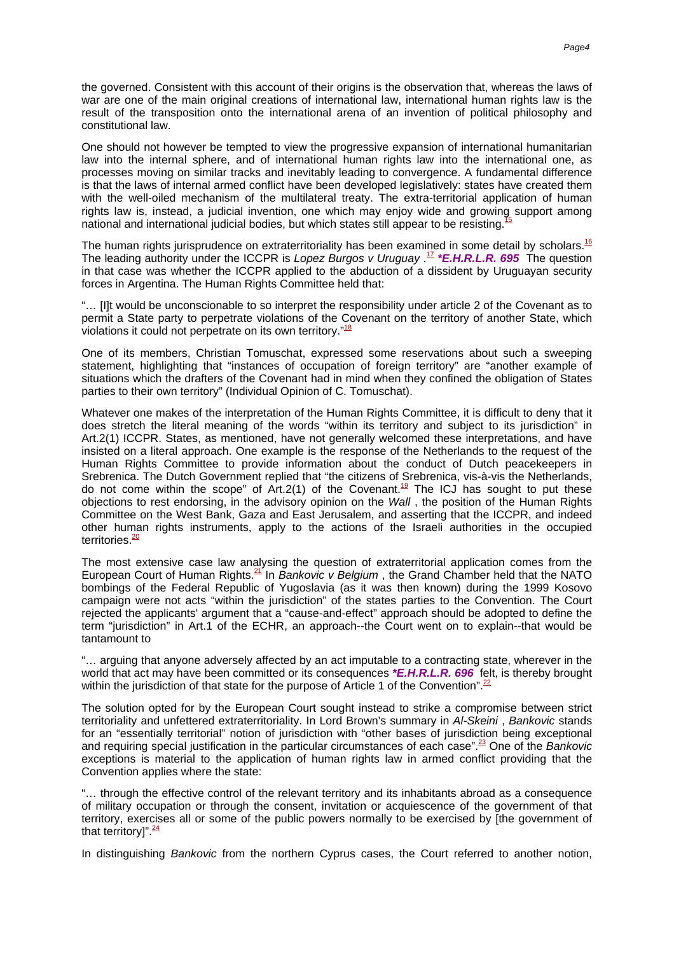the governed. Consistent with this account of their origins is the observation that, whereas the laws of war are one of the main original creations of international law, international human rights law is the result of the transposition onto the international arena of an invention of political philosophy and constitutional law.

One should not however be tempted to view the progressive expansion of international humanitarian law into the internal sphere, and of international human rights law into the international one, as processes moving on similar tracks and inevitably leading to convergence. A fundamental difference is that the laws of internal armed conflict have been developed legislatively: states have created them with the well-oiled mechanism of the multilateral treaty. The extra-territorial application of human rights law is, instead, a judicial invention, one which may enjoy wide and growing support among national and international judicial bodies, but which states still appear to be resisting[.](#page-9-5)<sup>1</sup>

The human rights jurisprudence on extraterritoriality has been examined in some detail by scholar[s.](#page-9-6)<sup>16</sup> The leading authority under the ICCPR is Lopez Burgos v Uruguay [.](#page-9-7) <sup>17</sup> **\*E.H.R.L.R. 695** The question in that case was whether the ICCPR applied to the abduction of a dissident by Uruguayan security forces in Argentina. The Human Rights Committee held that:

"… [I]t would be unconscionable to so interpret the responsibility under article 2 of the Covenant as to permit a State party to perpetrate violations of the Covenant on the territory of another State, which violations it could not perpetrate on its own territory.["](#page-9-8)<sup>18</sup>

One of its members, Christian Tomuschat, expressed some reservations about such a sweeping statement, highlighting that "instances of occupation of foreign territory" are "another example of situations which the drafters of the Covenant had in mind when they confined the obligation of States parties to their own territory" (Individual Opinion of C. Tomuschat).

Whatever one makes of the interpretation of the Human Rights Committee, it is difficult to deny that it does stretch the literal meaning of the words "within its territory and subject to its jurisdiction" in Art.2(1) ICCPR. States, as mentioned, have not generally welcomed these interpretations, and have insisted on a literal approach. One example is the response of the Netherlands to the request of the Human Rights Committee to provide information about the conduct of Dutch peacekeepers in Srebrenica. The Dutch Government replied that "the citizens of Srebrenica, vis-à-vis the Netherlands, do not come within the scope" of Art.2(1) of the Covenant[.](#page-9-9)<sup>19</sup> The ICJ has sought to put these objections to rest endorsing, in the advisory opinion on the Wall, the position of the Human Rights Committee on the West Bank, Gaza and East Jerusalem, and asserting that the ICCPR, and indeed other human rights instruments, apply to the actions of the Israeli authorities in the occupied territories.<sup>[20](#page-9-10)</sup>

The most extensive case law analysing the question of extraterritorial application comes from the European Court of Human Rights[.](#page-9-11)<sup>21</sup> In *Bankovic v Belgium*, the Grand Chamber held that the NATO bombings of the Federal Republic of Yugoslavia (as it was then known) during the 1999 Kosovo campaign were not acts "within the jurisdiction" of the states parties to the Convention. The Court rejected the applicants' argument that a "cause-and-effect" approach should be adopted to define the term "jurisdiction" in Art.1 of the ECHR, an approach--the Court went on to explain--that would be tantamount to

"… arguing that anyone adversely affected by an act imputable to a contracting state, wherever in the world that act may have been committed or its consequences **\*E.H.R.L.R. 696** felt, is thereby brought within the jurisdiction of that state for the purpose of Article 1 of the Convention"[.](#page-9-12)<sup>22</sup>

The solution opted for by the European Court sought instead to strike a compromise between strict territoriality and unfettered extraterritoriality. In Lord Brown's summary in Al-Skeini, Bankovic stands for an "essentially territorial" notion of jurisdiction with "other bases of jurisdiction being exceptional and requiring special justification in the particular circumstances of each case[".](#page-9-13)<sup>23</sup> One of the Bankovic exceptions is material to the application of human rights law in armed conflict providing that the Convention applies where the state:

"… through the effective control of the relevant territory and its inhabitants abroad as a consequence of military occupation or through the consent, invitation or acquiescence of the government of that territory, exercises all or some of the public powers normally to be exercised by [the government of that territory][".](#page-9-14) $24$ 

In distinguishing Bankovic from the northern Cyprus cases, the Court referred to another notion,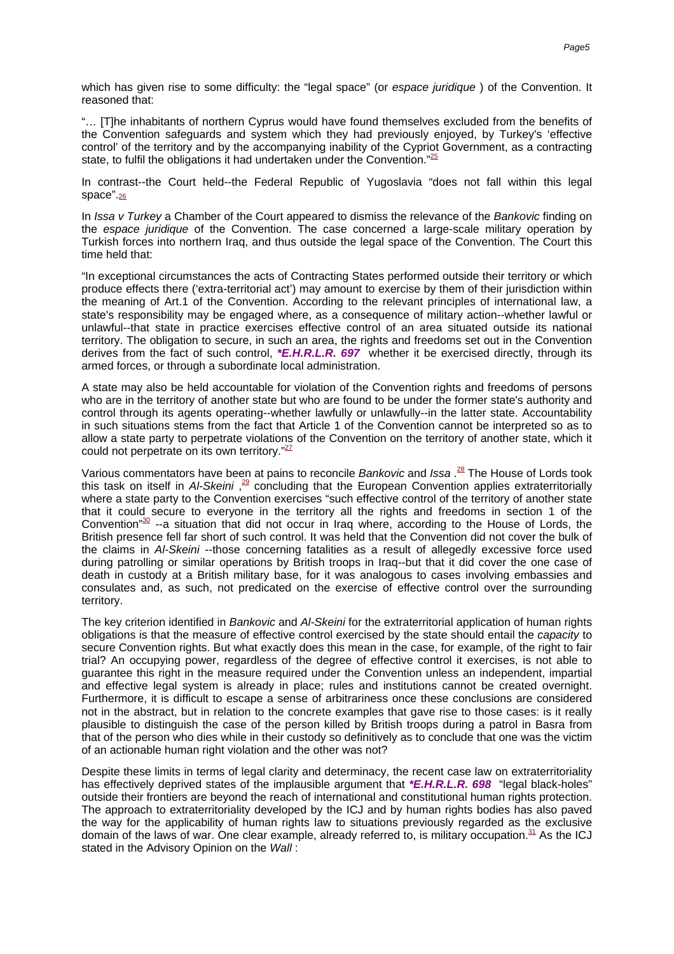which has given rise to some difficulty: the "legal space" (or espace juridique) of the Convention. It reasoned that:

"… [T]he inhabitants of northern Cyprus would have found themselves excluded from the benefits of the Convention safeguards and system which they had previously enjoyed, by Turkey's 'effective control' of the territory and by the accompanying inability of the Cypriot Government, as a contracting state, to fulfil the obligations it had undertaken under the Convention.["](#page-9-15)<sup>25</sup>

In contrast--the Court held--the Federal Republic of Yugoslavia "does not fall within this legal [sp](#page-9-16)ace".<sup>26</sup>

In Issa v Turkey a Chamber of the Court appeared to dismiss the relevance of the Bankovic finding on the espace juridique of the Convention. The case concerned a large-scale military operation by Turkish forces into northern Iraq, and thus outside the legal space of the Convention. The Court this time held that:

"In exceptional circumstances the acts of Contracting States performed outside their territory or which produce effects there ('extra-territorial act') may amount to exercise by them of their jurisdiction within the meaning of Art.1 of the Convention. According to the relevant principles of international law, a state's responsibility may be engaged where, as a consequence of military action--whether lawful or unlawful--that state in practice exercises effective control of an area situated outside its national territory. The obligation to secure, in such an area, the rights and freedoms set out in the Convention derives from the fact of such control, **\*E.H.R.L.R. 697** whether it be exercised directly, through its armed forces, or through a subordinate local administration.

A state may also be held accountable for violation of the Convention rights and freedoms of persons who are in the territory of another state but who are found to be under the former state's authority and control through its agents operating--whether lawfully or unlawfully--in the latter state. Accountability in such situations stems from the fact that Article 1 of the Convention cannot be interpreted so as to allow a state party to perpetrate violations of the Convention on the territory of another state, which it could not perpetrate on its own territory.["](#page-9-17)<sup>27</sup>

Various commentators have been at pains to reconcile *Bankovic* and *Issa*[.](#page-9-18)<sup>28</sup> The House of Lords took this task on itself in Al-Skeini[,](#page-9-19) <sup>29</sup> concluding that the European Convention applies extraterritorially where a state party to the Convention exercises "such effective control of the territory of another state that it could secure to everyone in the territory all the rights and freedoms in section 1 of the Convention" $30$  --a situation that did not occur in Iraq where, according to the House of Lords, the British presence fell far short of such control. It was held that the Convention did not cover the bulk of the claims in Al-Skeini --those concerning fatalities as a result of allegedly excessive force used during patrolling or similar operations by British troops in Iraq--but that it did cover the one case of death in custody at a British military base, for it was analogous to cases involving embassies and consulates and, as such, not predicated on the exercise of effective control over the surrounding territory.

The key criterion identified in Bankovic and Al-Skeini for the extraterritorial application of human rights obligations is that the measure of effective control exercised by the state should entail the capacity to secure Convention rights. But what exactly does this mean in the case, for example, of the right to fair trial? An occupying power, regardless of the degree of effective control it exercises, is not able to guarantee this right in the measure required under the Convention unless an independent, impartial and effective legal system is already in place; rules and institutions cannot be created overnight. Furthermore, it is difficult to escape a sense of arbitrariness once these conclusions are considered not in the abstract, but in relation to the concrete examples that gave rise to those cases: is it really plausible to distinguish the case of the person killed by British troops during a patrol in Basra from that of the person who dies while in their custody so definitively as to conclude that one was the victim of an actionable human right violation and the other was not?

Despite these limits in terms of legal clarity and determinacy, the recent case law on extraterritoriality has effectively deprived states of the implausible argument that **\*E.H.R.L.R. 698** "legal black-holes" outside their frontiers are beyond the reach of international and constitutional human rights protection. The approach to extraterritoriality developed by the ICJ and by human rights bodies has also paved the way for the applicability of human rights law to situations previously regarded as the exclusive domain of the laws of war[.](#page-9-21) One clear example, already referred to, is military occupation.<sup>31</sup> As the ICJ stated in the Advisory Opinion on the Wall :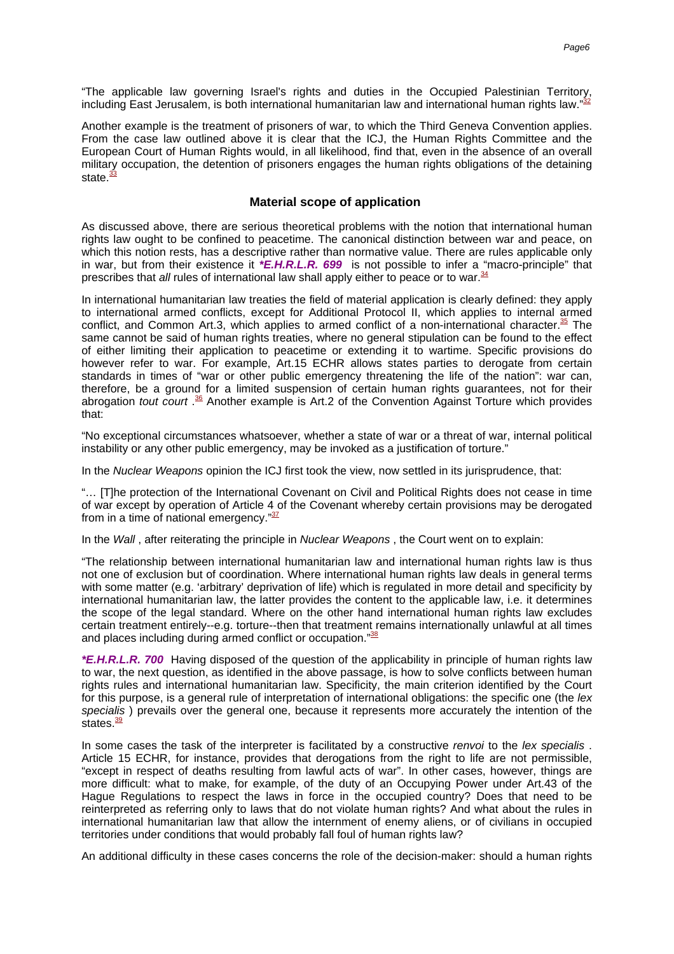"The applicable law governing Israel's rights and duties in the Occupied Palestinian Territory, including East Jerusalem, is both international humanitarian law and international human rights law.["](#page-9-22)32

Another example is the treatment of prisoners of war, to which the Third Geneva Convention applies. From the case law outlined above it is clear that the ICJ, the Human Rights Committee and the European Court of Human Rights would, in all likelihood, find that, even in the absence of an overall military occupation, the detention of prisoners engages the human rights obligations of the detaining state. $\frac{3}{3}$ 

#### **Material scope of application**

As discussed above, there are serious theoretical problems with the notion that international human rights law ought to be confined to peacetime. The canonical distinction between war and peace, on which this notion rests, has a descriptive rather than normative value. There are rules applicable only in war, but from their existence it **\*E.H.R.L.R. 699** is not possible to infer a "macro-principle" that prescribes that all rules of international law shall apply either to peace or to war[.](#page-9-24)<sup>34</sup>

In international humanitarian law treaties the field of material application is clearly defined: they apply to international armed conflicts, except for Additional Protocol II, which applies to internal armed conflict, and Common Art[.](#page-9-25)3, which applies to armed conflict of a non-international character. $35$  The same cannot be said of human rights treaties, where no general stipulation can be found to the effect of either limiting their application to peacetime or extending it to wartime. Specific provisions do however refer to war. For example, Art.15 ECHR allows states parties to derogate from certain standards in times of "war or other public emergency threatening the life of the nation": war can, therefore, be a ground for a limited suspension of certain human rights guarantees, not for their abrogation tout court[.](#page-10-0)<sup>36</sup> Another example is Art.2 of the Convention Against Torture which provides that:

"No exceptional circumstances whatsoever, whether a state of war or a threat of war, internal political instability or any other public emergency, may be invoked as a justification of torture."

In the Nuclear Weapons opinion the ICJ first took the view, now settled in its jurisprudence, that:

"… [T]he protection of the International Covenant on Civil and Political Rights does not cease in time of war except by operation of Article 4 of the Covenant whereby certain provisions may be derogated from in a time of national emergency. $\frac{37}{2}$ 

In the Wall, after reiterating the principle in Nuclear Weapons, the Court went on to explain:

"The relationship between international humanitarian law and international human rights law is thus not one of exclusion but of coordination. Where international human rights law deals in general terms with some matter (e.g. 'arbitrary' deprivation of life) which is regulated in more detail and specificity by international humanitarian law, the latter provides the content to the applicable law, i.e. it determines the scope of the legal standard. Where on the other hand international human rights law excludes certain treatment entirely--e.g. torture--then that treatment remains internationally unlawful at all times and places including during armed conflict or occupation.["](#page-10-2)<sup>38</sup>

**\*E.H.R.L.R. 700** Having disposed of the question of the applicability in principle of human rights law to war, the next question, as identified in the above passage, is how to solve conflicts between human rights rules and international humanitarian law. Specificity, the main criterion identified by the Court for this purpose, is a general rule of interpretation of international obligations: the specific one (the lex specialis ) prevails over the general one, because it represents more accurately the intention of the states. $\frac{39}{2}$  $\frac{39}{2}$  $\frac{39}{2}$ 

In some cases the task of the interpreter is facilitated by a constructive renvoi to the lex specialis. Article 15 ECHR, for instance, provides that derogations from the right to life are not permissible, "except in respect of deaths resulting from lawful acts of war". In other cases, however, things are more difficult: what to make, for example, of the duty of an Occupying Power under Art.43 of the Hague Regulations to respect the laws in force in the occupied country? Does that need to be reinterpreted as referring only to laws that do not violate human rights? And what about the rules in international humanitarian law that allow the internment of enemy aliens, or of civilians in occupied territories under conditions that would probably fall foul of human rights law?

An additional difficulty in these cases concerns the role of the decision-maker: should a human rights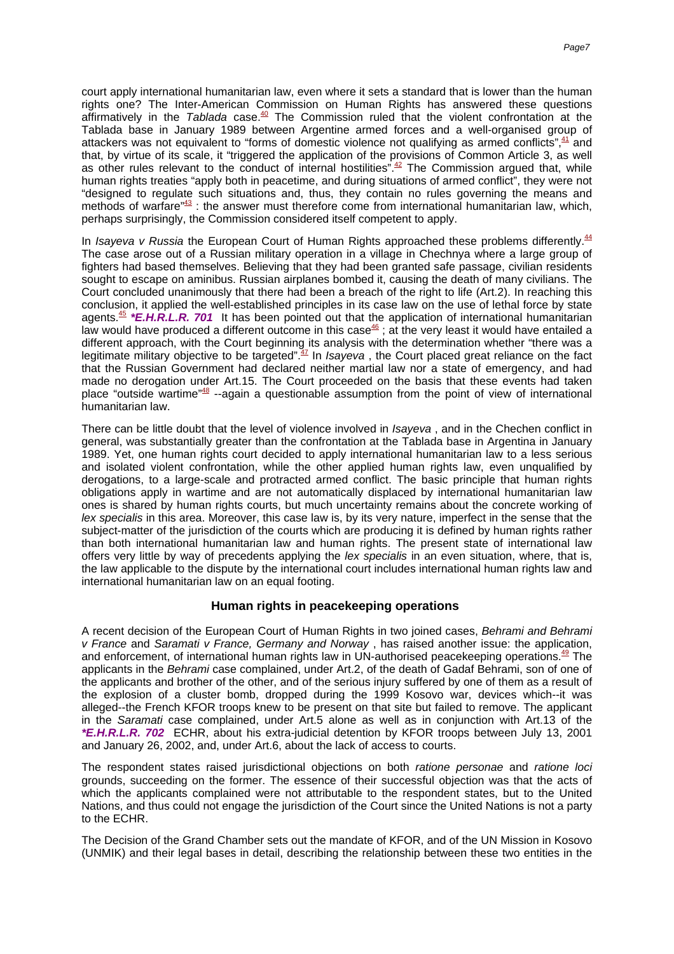court apply international humanitarian law, even where it sets a standard that is lower than the human rights one? The Inter-American Commission on Human Rights has answered these questions affirmatively in the Tablada cas[e.](#page-10-4) $40$  The Commission ruled that the violent confrontation at the Tablada base in January 1989 between Argentine armed forces and a well-organised group of attackers was not equivalent to "forms of domestic violence not qualifying as armed conflicts"[,](#page-10-5) $41$  and that, by virtue of its scale, it "triggered the application of the provisions of Common Article 3, as well as other rules relevant to the conduct of internal hostilities[".](#page-10-6) $42$  The Commission argued that, while human rights treaties "apply both in peacetime, and during situations of armed conflict", they were not "designed to regulate such situations and, thus, they contain no rules governing the means and methods of warfare<sup>["](#page-10-7)43</sup> : the answer must therefore come from international humanitarian law, which, perhaps surprisingly, the Commission considered itself competent to apply.

In Isayeva v Russia the European Court of Human Rights approached these problems differentl[y.](#page-10-8) $44$ The case arose out of a Russian military operation in a village in Chechnya where a large group of fighters had based themselves. Believing that they had been granted safe passage, civilian residents sought to escape on aminibus. Russian airplanes bombed it, causing the death of many civilians. The Court concluded unanimously that there had been a breach of the right to life (Art.2). In reaching this conclusion, it applied the well-established principles in its case law on the use of lethal force by state agents.[45](#page-10-9) **\*E.H.R.L.R. 701** It has been pointed out that the application of international humanitarian law would hav[e](#page-10-10) produced a different outcome in this case $\frac{46}{ }$ ; at the very least it would have entailed a different approach, with the Court beginning its analysis with the determination whether "there was a legitimate military objective to be targeted"[.](#page-10-11)<sup> $47$ </sup> In *Isayeva*, the Court placed great reliance on the fact that the Russian Government had declared neither martial law nor a state of emergency, and had made no derogation under Art.15. The Court proceeded on the basis that these events had taken place "outside wartime["](#page-10-12)<sup>48</sup> --again a questionable assumption from the point of view of international humanitarian law.

There can be little doubt that the level of violence involved in *Isayeva*, and in the Chechen conflict in general, was substantially greater than the confrontation at the Tablada base in Argentina in January 1989. Yet, one human rights court decided to apply international humanitarian law to a less serious and isolated violent confrontation, while the other applied human rights law, even unqualified by derogations, to a large-scale and protracted armed conflict. The basic principle that human rights obligations apply in wartime and are not automatically displaced by international humanitarian law ones is shared by human rights courts, but much uncertainty remains about the concrete working of lex specialis in this area. Moreover, this case law is, by its very nature, imperfect in the sense that the subject-matter of the jurisdiction of the courts which are producing it is defined by human rights rather than both international humanitarian law and human rights. The present state of international law offers very little by way of precedents applying the lex specialis in an even situation, where, that is, the law applicable to the dispute by the international court includes international human rights law and international humanitarian law on an equal footing.

### **Human rights in peacekeeping operations**

A recent decision of the European Court of Human Rights in two joined cases. Behrami and Behrami v France and Saramati v France, Germany and Norway , has raised another issue: the application, and enforcement, of international human rights law in UN-authorised peacekeeping operations[.](#page-10-13)<sup>49</sup> The applicants in the Behrami case complained, under Art.2, of the death of Gadaf Behrami, son of one of the applicants and brother of the other, and of the serious injury suffered by one of them as a result of the explosion of a cluster bomb, dropped during the 1999 Kosovo war, devices which--it was alleged--the French KFOR troops knew to be present on that site but failed to remove. The applicant in the Saramati case complained, under Art.5 alone as well as in conjunction with Art.13 of the **\*E.H.R.L.R. 702** ECHR, about his extra-judicial detention by KFOR troops between July 13, 2001 and January 26, 2002, and, under Art.6, about the lack of access to courts.

The respondent states raised jurisdictional objections on both ratione personae and ratione loci grounds, succeeding on the former. The essence of their successful objection was that the acts of which the applicants complained were not attributable to the respondent states, but to the United Nations, and thus could not engage the jurisdiction of the Court since the United Nations is not a party to the ECHR.

The Decision of the Grand Chamber sets out the mandate of KFOR, and of the UN Mission in Kosovo (UNMIK) and their legal bases in detail, describing the relationship between these two entities in the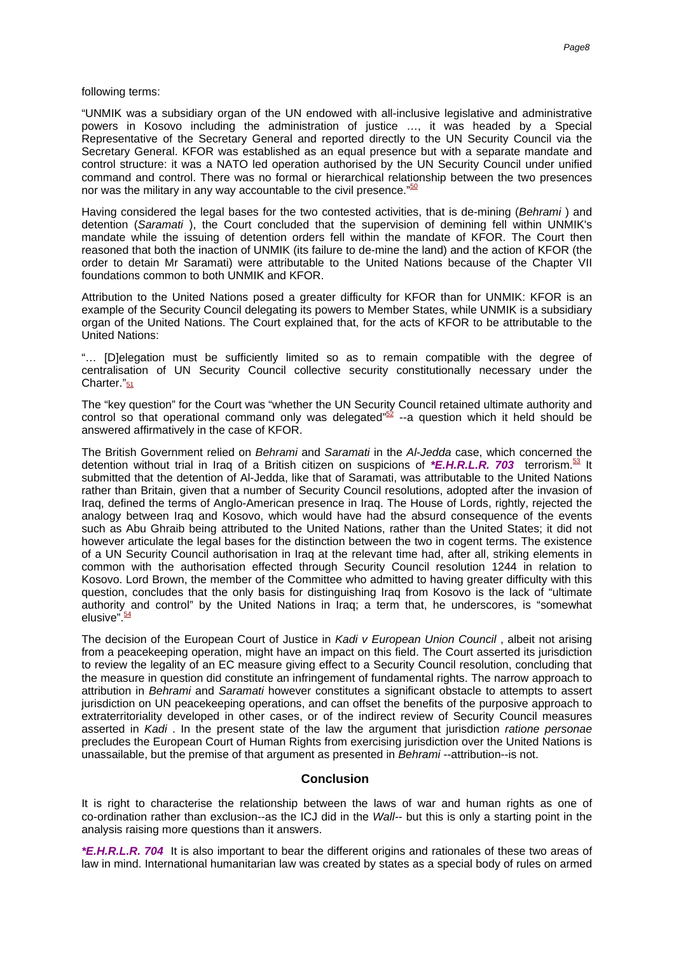following terms:

"UNMIK was a subsidiary organ of the UN endowed with all-inclusive legislative and administrative powers in Kosovo including the administration of justice …, it was headed by a Special Representative of the Secretary General and reported directly to the UN Security Council via the Secretary General. KFOR was established as an equal presence but with a separate mandate and control structure: it was a NATO led operation authorised by the UN Security Council under unified command and control. There was no formal or hierarchical relationship between the two presences nor was the military in any way accountable to the civil presence.["](#page-10-14)<sup>50</sup>

Having considered the legal bases for the two contested activities, that is de-mining (Behrami) and detention (Saramati), the Court concluded that the supervision of demining fell within UNMIK's mandate while the issuing of detention orders fell within the mandate of KFOR. The Court then reasoned that both the inaction of UNMIK (its failure to de-mine the land) and the action of KFOR (the order to detain Mr Saramati) were attributable to the United Nations because of the Chapter VII foundations common to both UNMIK and KFOR.

Attribution to the United Nations posed a greater difficulty for KFOR than for UNMIK: KFOR is an example of the Security Council delegating its powers to Member States, while UNMIK is a subsidiary organ of the United Nations. The Court explained that, for the acts of KFOR to be attributable to the United Nations:

"… [D]elegation must be sufficiently limited so as to remain compatible with the degree of centralisation of UN Security Council collective security constitutionally necessary under the [C](#page-10-15)harter."<sub>51</sub>

The "key question" for the Court was "whether the UN Security Council retained ultimate authority and control so that operational command only was delegated["](#page-10-16) $5^2$  --a question which it held should be answered affirmatively in the case of KFOR.

The British Government relied on Behrami and Saramati in the Al-Jedda case, which concerned the detention without trial in Iraq of a British citizen on suspicions of \*E[.](#page-10-17)H.R.L.R. 703 terrorism.<sup>53</sup> It submitted that the detention of Al-Jedda, like that of Saramati, was attributable to the United Nations rather than Britain, given that a number of Security Council resolutions, adopted after the invasion of Iraq, defined the terms of Anglo-American presence in Iraq. The House of Lords, rightly, rejected the analogy between Iraq and Kosovo, which would have had the absurd consequence of the events such as Abu Ghraib being attributed to the United Nations, rather than the United States; it did not however articulate the legal bases for the distinction between the two in cogent terms. The existence of a UN Security Council authorisation in Iraq at the relevant time had, after all, striking elements in common with the authorisation effected through Security Council resolution 1244 in relation to Kosovo. Lord Brown, the member of the Committee who admitted to having greater difficulty with this question, concludes that the only basis for distinguishing Iraq from Kosovo is the lack of "ultimate authority and control" by the United Nations in Iraq; a term that, he underscores, is "somewhat elusive". <del><sup>[54](#page-10-18)</sup></del>

The decision of the European Court of Justice in Kadi v European Union Council, albeit not arising from a peacekeeping operation, might have an impact on this field. The Court asserted its jurisdiction to review the legality of an EC measure giving effect to a Security Council resolution, concluding that the measure in question did constitute an infringement of fundamental rights. The narrow approach to attribution in Behrami and Saramati however constitutes a significant obstacle to attempts to assert jurisdiction on UN peacekeeping operations, and can offset the benefits of the purposive approach to extraterritoriality developed in other cases, or of the indirect review of Security Council measures asserted in Kadi . In the present state of the law the argument that jurisdiction ratione personae precludes the European Court of Human Rights from exercising jurisdiction over the United Nations is unassailable, but the premise of that argument as presented in Behrami --attribution--is not.

### **Conclusion**

It is right to characterise the relationship between the laws of war and human rights as one of co-ordination rather than exclusion--as the ICJ did in the Wall-- but this is only a starting point in the analysis raising more questions than it answers.

**\*E.H.R.L.R. 704** It is also important to bear the different origins and rationales of these two areas of law in mind. International humanitarian law was created by states as a special body of rules on armed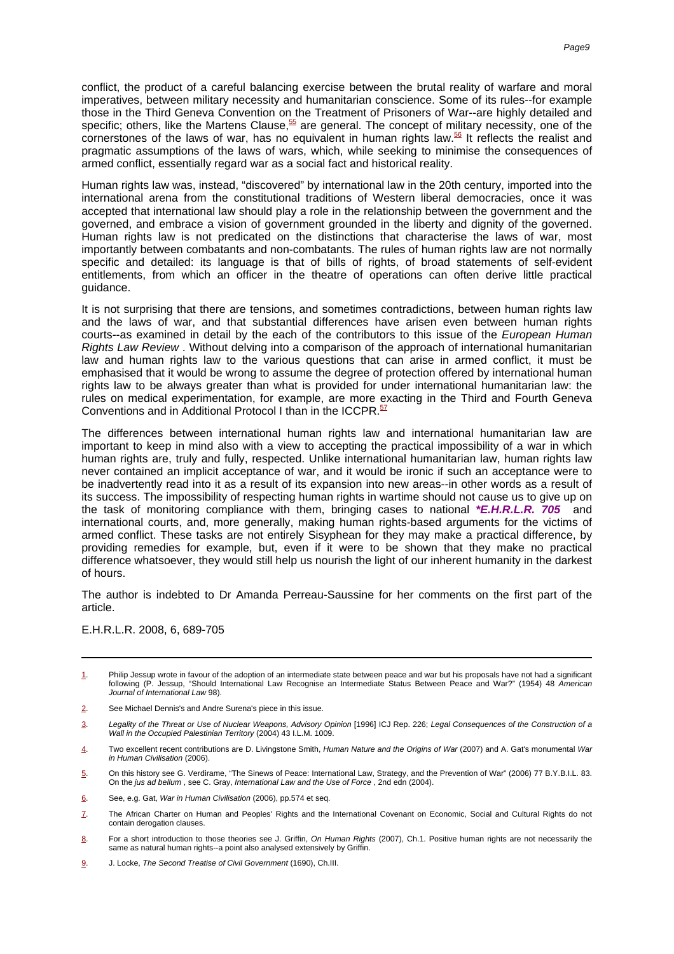conflict, the product of a careful balancing exercise between the brutal reality of warfare and moral imperatives, between military necessity and humanitarian conscience. Some of its rules--for example those in the Third Geneva Convention on the Treatment of Prisoners of War--are highly detailed and specific; others, like the Martens Claus[e,](#page-10-19) $\frac{55}{2}$  are general. The concept of military necessity, one of the cornerstones of the laws of war, has no equivalent in human rights la[w.](#page-10-20)<sup>56</sup> It reflects the realist and pragmatic assumptions of the laws of wars, which, while seeking to minimise the consequences of armed conflict, essentially regard war as a social fact and historical reality.

Human rights law was, instead, "discovered" by international law in the 20th century, imported into the international arena from the constitutional traditions of Western liberal democracies, once it was accepted that international law should play a role in the relationship between the government and the governed, and embrace a vision of government grounded in the liberty and dignity of the governed. Human rights law is not predicated on the distinctions that characterise the laws of war, most importantly between combatants and non-combatants. The rules of human rights law are not normally specific and detailed: its language is that of bills of rights, of broad statements of self-evident entitlements, from which an officer in the theatre of operations can often derive little practical guidance.

It is not surprising that there are tensions, and sometimes contradictions, between human rights law and the laws of war, and that substantial differences have arisen even between human rights courts--as examined in detail by the each of the contributors to this issue of the European Human Rights Law Review . Without delving into a comparison of the approach of international humanitarian law and human rights law to the various questions that can arise in armed conflict, it must be emphasised that it would be wrong to assume the degree of protection offered by international human rights law to be always greater than what is provided for under international humanitarian law: the rules on medical experimentation, for example, are more exacting in the Third and Fourth Geneva Conventions and in Additional Protocol I than in the ICCPR[.](#page-10-21)<sup>57</sup>

The differences between international human rights law and international humanitarian law are important to keep in mind also with a view to accepting the practical impossibility of a war in which human rights are, truly and fully, respected. Unlike international humanitarian law, human rights law never contained an implicit acceptance of war, and it would be ironic if such an acceptance were to be inadvertently read into it as a result of its expansion into new areas--in other words as a result of its success. The impossibility of respecting human rights in wartime should not cause us to give up on the task of monitoring compliance with them, bringing cases to national **\*E.H.R.L.R. 705** and international courts, and, more generally, making human rights-based arguments for the victims of armed conflict. These tasks are not entirely Sisyphean for they may make a practical difference, by providing remedies for example, but, even if it were to be shown that they make no practical difference whatsoever, they would still help us nourish the light of our inherent humanity in the darkest of hours.

The author is indebted to Dr Amanda Perreau-Saussine for her comments on the first part of the article.

#### E.H.R.L.R. 2008, 6, 689-705

- <span id="page-8-0"></span>[1.](#page--1-0) Philip Jessup wrote in favour of the adoption of an intermediate state between peace and war but his proposals have not had a significant following (P. Jessup, "Should International Law Recognise an Intermediate Status Between Peace and War?" (1954) 48 American Journal of International Law 98).
- <span id="page-8-1"></span>[2.](#page--1-0) See Michael Dennis's and Andre Surena's piece in this issue.
- <span id="page-8-2"></span>[3.](#page--1-0) Legality of the Threat or Use of Nuclear Weapons, Advisory Opinion [1996] ICJ Rep. 226; Legal Consequences of the Construction of a Wall in the Occupied Palestinian Territory (2004) 43 I.L.M. 1009.
- <span id="page-8-3"></span>[4.](#page--1-0) Two excellent recent contributions are D. Livingstone Smith, Human Nature and the Origins of War (2007) and A. Gat's monumental War in Human Civilisation (2006).
- <span id="page-8-4"></span>[5.](#page--1-0) On this history see G. Verdirame, "The Sinews of Peace: International Law, Strategy, and the Prevention of War" (2006) 77 B.Y.B.I.L. 83. On the jus ad bellum , see C. Gray, International Law and the Use of Force , 2nd edn (2004).
- <span id="page-8-5"></span>[6.](#page--1-0) See, e.g. Gat, War in Human Civilisation (2006), pp.574 et seq.
- <span id="page-8-6"></span>[7.](#page--1-0) The African Charter on Human and Peoples' Rights and the International Covenant on Economic, Social and Cultural Rights do not contain derogation clauses.
- <span id="page-8-7"></span>[8.](#page--1-0) For a short introduction to those theories see J. Griffin, On Human Rights (2007), Ch.1. Positive human rights are not necessarily the same as natural human rights--a point also analysed extensively by Griffin.
- <span id="page-8-8"></span>[9.](#page--1-0) J. Locke, The Second Treatise of Civil Government (1690), Ch.III.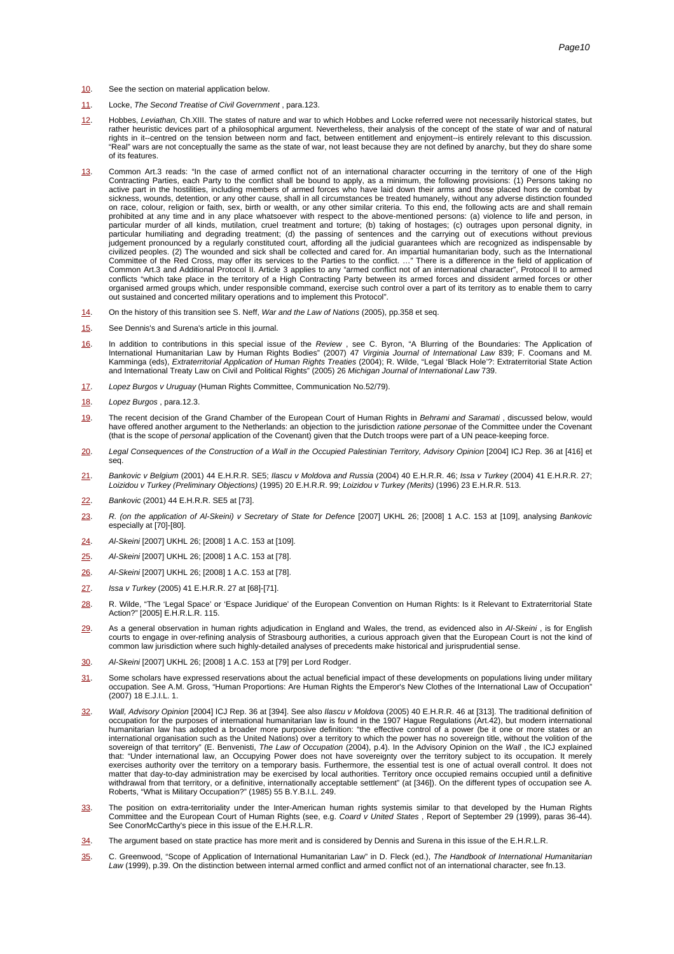- <span id="page-9-0"></span>[10.](#page--1-0) See the section on material application below.
- <span id="page-9-1"></span>[11.](#page--1-0) Locke, The Second Treatise of Civil Government, para.123.
- <span id="page-9-2"></span>[12.](#page--1-0) Hobbes, Leviathan, Ch.XIII. The states of nature and war to which Hobbes and Locke referred were not necessarily historical states, but rather heuristic devices part of a philosophical argument. Nevertheless, their analysis of the concept of the state of war and of natural rights in it--centred on the tension between norm and fact, between entitlement and enjoyment--is entirely relevant to this discussion. "Real" wars are not conceptually the same as the state of war, not least because they are not defined by anarchy, but they do share some of its features.
- <span id="page-9-3"></span>[13.](#page--1-0) Common Art.3 reads: "In the case of armed conflict not of an international character occurring in the territory of one of the High Contracting Parties, each Party to the conflict shall be bound to apply, as a minimum, the following provisions: (1) Persons taking no active part in the hostilities, including members of armed forces who have laid down their arms and those placed hors de combat by sickness, wounds, detention, or any other cause, shall in all circumstances be treated humanely, without any adverse distinction founded<br>on race, colour, religion or faith, sex, birth or wealth, or any other similar criter prohibited at any time and in any place whatsoever with respect to the above-mentioned persons: (a) violence to life and person, in particular murder of all kinds, mutilation, cruel treatment and torture; (b) taking of hostages; (c) outrages upon personal dignity, in particular humiliating and degrading treatment; (d) the passing of sentences and the carrying out of executions without previous judgement pronounced by a regularly constituted court, affording all the judicial guarantees which are recognized as indispensable by<br>civilized peoples. (2) The wounded and sick shall be collected and cared for. An imparti Common Art.3 and Additional Protocol II. Article 3 applies to any "armed conflict not of an international character", Protocol II to armed conflicts "which take place in the territory of a High Contracting Party between its armed forces and dissident armed forces or other organised armed groups which, under responsible command, exercise such control over a part of its territory as to enable them to carry out sustained and concerted military operations and to implement this Protocol".
- <span id="page-9-4"></span>[14.](#page--1-0) On the history of this transition see S. Neff, War and the Law of Nations (2005), pp.358 et seq.
- <span id="page-9-5"></span>[15.](#page--1-0) See Dennis's and Surena's article in this journal.
- <span id="page-9-6"></span>[16.](#page--1-0) In addition to contributions in this special issue of the *Review*, see C. Byron, "A Blurring of the Boundaries: The Application of<br>.International Humanitarian Law by Human Rights Bodies" (2007) 47 Virginia Journal of and International Treaty Law on Civil and Political Rights" (2005) 26 Michigan Journal of International Law 739.
- <span id="page-9-7"></span>[17.](#page--1-0) Lopez Burgos v Uruguay (Human Rights Committee, Communication No.52/79).
- <span id="page-9-8"></span>[18.](#page--1-0) Lopez Burgos, para.12.3.
- <span id="page-9-9"></span>[19.](#page--1-0) The recent decision of the Grand Chamber of the European Court of Human Rights in Behrami and Saramati, discussed below, would have offered another argument to the Netherlands: an objection to the jurisdiction ratione personae of the Committee under the Covenant (that is the scope of personal application of the Covenant) given that the Dutch troops were part of a UN peace-keeping force.
- <span id="page-9-10"></span>[20.](#page--1-0) Legal Consequences of the Construction of a Wall in the Occupied Palestinian Territory, Advisory Opinion [2004] ICJ Rep. 36 at [416] et seq.
- <span id="page-9-11"></span>[21.](#page--1-0) Bankovic v Belgium (2001) 44 E.H.R.R. SE5; Ilascu v Moldova and Russia (2004) 40 E.H.R.R. 46; Issa v Turkey (2004) 41 E.H.R.R. 27; Loizidou v Turkey (Preliminary Objections) (1995) 20 E.H.R.R. 99; Loizidou v Turkey (Merits) (1996) 23 E.H.R.R. 513.
- <span id="page-9-12"></span>[22.](#page--1-0) Bankovic (2001) 44 E.H.R.R. SE5 at [73].
- <span id="page-9-13"></span>[23.](#page--1-0) R. (on the application of Al-Skeini) v Secretary of State for Defence [2007] UKHL 26; [2008] 1 A.C. 153 at [109], analysing Bankovic especially at [70]-[80].
- <span id="page-9-14"></span>[24.](#page--1-0) Al-Skeini [2007] UKHL 26; [2008] 1 A.C. 153 at [109].
- <span id="page-9-15"></span>[25.](#page--1-0) Al-Skeini [2007] UKHL 26; [2008] 1 A.C. 153 at [78].
- <span id="page-9-16"></span>[26.](#page--1-0) Al-Skeini [2007] UKHL 26; [2008] 1 A.C. 153 at [78].
- <span id="page-9-17"></span>[27.](#page--1-0) Issa v Turkey (2005) 41 E.H.R.R. 27 at [68]-[71].
- <span id="page-9-18"></span>[28.](#page--1-0) R. Wilde, "The 'Legal Space' or 'Espace Juridique' of the European Convention on Human Rights: Is it Relevant to Extraterritorial State Action?" [2005] E.H.R.L.R. 115.
- <span id="page-9-19"></span>[29.](#page--1-0) As a general observation in human rights adjudication in England and Wales, the trend, as evidenced also in Al-Skeini, is for English courts to engage in over-refining analysis of Strasbourg authorities, a curious approach given that the European Court is not the kind of common law jurisdiction where such highly-detailed analyses of precedents make historical and jurisprudential sense.
- <span id="page-9-20"></span>[30.](#page--1-0) Al-Skeini [2007] UKHL 26; [2008] 1 A.C. 153 at [79] per Lord Rodger.
- <span id="page-9-21"></span>[31.](#page--1-0) Some scholars have expressed reservations about the actual beneficial impact of these developments on populations living under military occupation. See A.M. Gross, "Human Proportions: Are Human Rights the Emperor's New Clothes of the International Law of Occupation" (2007) 18 E.J.I.L. 1.
- <span id="page-9-22"></span>[32.](#page--1-0) Wall, Advisory Opinion [2004] ICJ Rep. 36 at [394]. See also Ilascu v Moldova (2005) 40 E.H.R.R. 46 at [313]. The traditional definition of occupation for the purposes of international humanitarian law is found in the 1907 Hague Regulations (Art.42), but modern international<br>humanitarian law has adopted a broader more purposive definition: "the effective contr sovereign of that territory" (E. Benvenisti, *The Law of Occupation* (2004), p.4). In the Advisory Opinion on the Wall, the ICJ explained<br>that: "Under international law, an Occupying Power does not have sovereignty over th exercises authority over the territory on a temporary basis. Furthermore, the essential test is one of actual overall control. It does not<br>matter that day-to-day administration may be exercised by local authorities. Territ withdrawal from that territory, or a definitive, internationally acceptable settlement" (at [346]). On the different types of occupation see A. Roberts, "What is Military Occupation?" (1985) 55 B.Y.B.I.L. 249.
- <span id="page-9-23"></span>[33.](#page--1-0) The position on extra-territoriality under the Inter-American human rights systemis similar to that developed by the Human Rights Committee and the European Court of Human Rights (see, e.g. Coard v United States, Report of September 29 (1999), paras 36-44). See ConorMcCarthy's piece in this issue of the E.H.R.L.R.
- <span id="page-9-24"></span>[34.](#page--1-0) The argument based on state practice has more merit and is considered by Dennis and Surena in this issue of the E.H.R.L.R.
- <span id="page-9-25"></span>C. Greenwood, "Scope of Application of International Humanitarian Law" in D. Fleck (ed.), The Handbook of International Humanitarian<br>Law (1999), p.39. On the distinction between internal armed conflict and armed conflict n